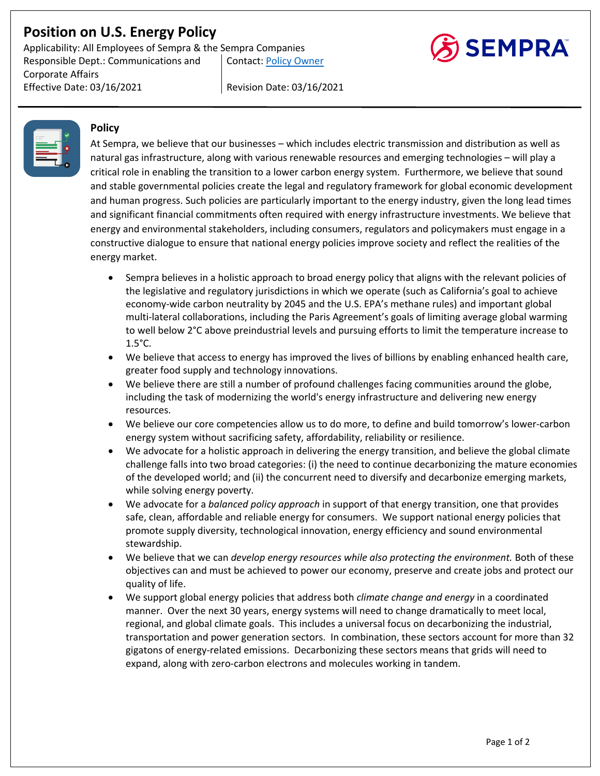# **Position on U.S. Energy Policy**

Applicability: All Employees of Sempra & the Sempra Companies Responsible Dept.: Communications and Corporate Affairs Contact: Policy Owner

Effective Date: 03/16/2021 Revision Date: 03/16/2021



#### **Policy**

At Sempra, we believe that our businesses – which includes electric transmission and distribution as well as natural gas infrastructure, along with various renewable resources and emerging technologies – will play a critical role in enabling the transition to a lower carbon energy system. Furthermore, we believe that sound and stable governmental policies create the legal and regulatory framework for global economic development and human progress. Such policies are particularly important to the energy industry, given the long lead times and significant financial commitments often required with energy infrastructure investments. We believe that energy and environmental stakeholders, including consumers, regulators and policymakers must engage in a constructive dialogue to ensure that national energy policies improve society and reflect the realities of the energy market.

- Sempra believes in a holistic approach to broad energy policy that aligns with the relevant policies of the legislative and regulatory jurisdictions in which we operate (such as California's goal to achieve economy-wide carbon neutrality by 2045 and the U.S. EPA's methane rules) and important global multi-lateral collaborations, including the Paris Agreement's goals of limiting average global warming to well below 2°C above preindustrial levels and pursuing efforts to limit the temperature increase to 1.5°C.
- We believe that access to energy has improved the lives of billions by enabling enhanced health care, greater food supply and technology innovations.
- We believe there are still a number of profound challenges facing communities around the globe, including the task of modernizing the world's energy infrastructure and delivering new energy resources.
- We believe our core competencies allow us to do more, to define and build tomorrow's lower-carbon energy system without sacrificing safety, affordability, reliability or resilience.
- We advocate for a holistic approach in delivering the energy transition, and believe the global climate challenge falls into two broad categories: (i) the need to continue decarbonizing the mature economies of the developed world; and (ii) the concurrent need to diversify and decarbonize emerging markets, while solving energy poverty.
- We advocate for a *balanced policy approach* in support of that energy transition, one that provides safe, clean, affordable and reliable energy for consumers. We support national energy policies that promote supply diversity, technological innovation, energy efficiency and sound environmental stewardship.
- We believe that we can *develop energy resources while also protecting the environment.* Both of these objectives can and must be achieved to power our economy, preserve and create jobs and protect our quality of life.
- We support global energy policies that address both *climate change and energy* in a coordinated manner. Over the next 30 years, energy systems will need to change dramatically to meet local, regional, and global climate goals. This includes a universal focus on decarbonizing the industrial, transportation and power generation sectors. In combination, these sectors account for more than 32 gigatons of energy-related emissions. Decarbonizing these sectors means that grids will need to expand, along with zero-carbon electrons and molecules working in tandem.